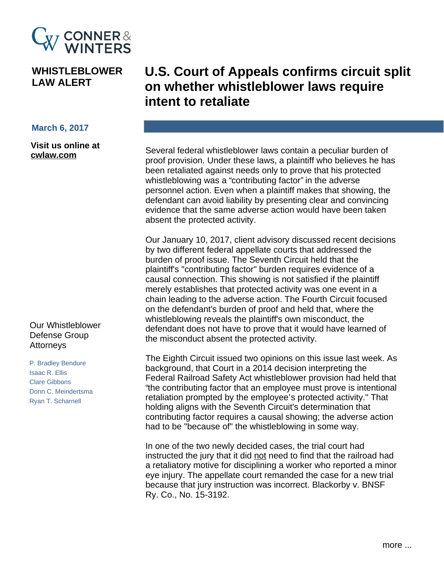

## **WHISTLEBLOWER LAW ALERT**

## **March 6, 2017**

Visit us online at cwlaw.com

## Our Whistleblower Defense Group Attorneys

P. Bradley Bendure **Isaac R. Ellis** Clare Gibbons Donn C. Meindertsma Ryan T. Scharnell

## **U.S. Court of Appeals confirms circuit split** on whether whistleblower laws require intent to retaliate

Several federal whistleblower laws contain a peculiar burden of proof provision. Under these laws, a plaintiff who believes he has been retaliated against needs only to prove that his protected whistleblowing was a "contributing factor" in the adverse personnel action. Even when a plaintiff makes that showing, the defendant can avoid liability by presenting clear and convincing evidence that the same adverse action would have been taken absent the protected activity.

Our January 10, 2017, client advisory discussed recent decisions by two different federal appellate courts that addressed the burden of proof issue. The Seventh Circuit held that the plaintiff's "contributing factor" burden requires evidence of a causal connection. This showing is not satisfied if the plaintiff merely establishes that protected activity was one event in a chain leading to the adverse action. The Fourth Circuit focused on the defendant's burden of proof and held that, where the whistleblowing reveals the plaintiff's own misconduct, the defendant does not have to prove that it would have learned of the misconduct absent the protected activity.

The Eighth Circuit issued two opinions on this issue last week. As background, that Court in a 2014 decision interpreting the Federal Railroad Safety Act whistleblower provision had held that "the contributing factor that an employee must prove is intentional retaliation prompted by the employee's protected activity." That holding aligns with the Seventh Circuit's determination that contributing factor requires a causal showing; the adverse action had to be "because of" the whistleblowing in some way.

In one of the two newly decided cases, the trial court had instructed the jury that it did not need to find that the railroad had a retaliatory motive for disciplining a worker who reported a minor eye injury. The appellate court remanded the case for a new trial because that jury instruction was incorrect. Blackorby v. BNSF Ry. Co., No. 15-3192.